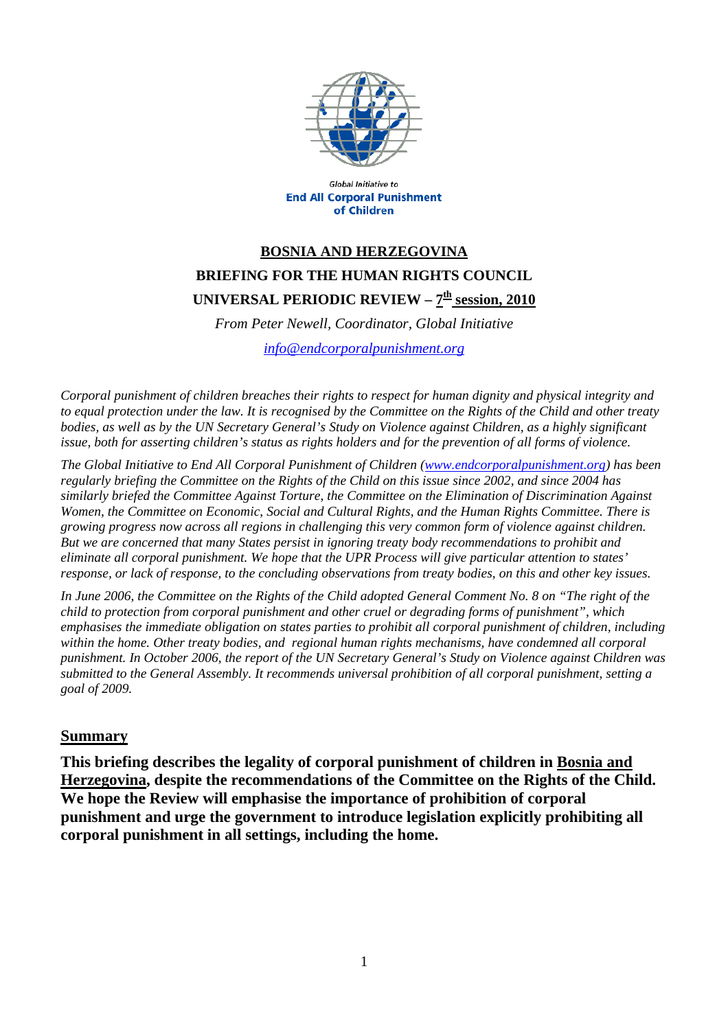

**Global Initiative to End All Corporal Punishment** of Children

## **BOSNIA AND HERZEGOVINA BRIEFING FOR THE HUMAN RIGHTS COUNCIL UNIVERSAL PERIODIC REVIEW –**  $7^{\underline{th}}$  **session, 2010**

*From Peter Newell, Coordinator, Global Initiative* 

*[info@endcorporalpunishment.org](mailto:info@endcorporalpunishment.org)*

*Corporal punishment of children breaches their rights to respect for human dignity and physical integrity and to equal protection under the law. It is recognised by the Committee on the Rights of the Child and other treaty*  bodies, as well as by the UN Secretary General's Study on Violence against Children, as a highly significant *issue, both for asserting children's status as rights holders and for the prevention of all forms of violence.* 

*The Global Initiative to End All Corporal Punishment of Children [\(www.endcorporalpunishment.org](http://www.endcorporalpunishment.org/)) has been regularly briefing the Committee on the Rights of the Child on this issue since 2002, and since 2004 has similarly briefed the Committee Against Torture, the Committee on the Elimination of Discrimination Against Women, the Committee on Economic, Social and Cultural Rights, and the Human Rights Committee. There is growing progress now across all regions in challenging this very common form of violence against children. But we are concerned that many States persist in ignoring treaty body recommendations to prohibit and eliminate all corporal punishment. We hope that the UPR Process will give particular attention to states' response, or lack of response, to the concluding observations from treaty bodies, on this and other key issues.* 

*In June 2006, the Committee on the Rights of the Child adopted General Comment No. 8 on "The right of the child to protection from corporal punishment and other cruel or degrading forms of punishment", which emphasises the immediate obligation on states parties to prohibit all corporal punishment of children, including within the home. Other treaty bodies, and regional human rights mechanisms, have condemned all corporal punishment. In October 2006, the report of the UN Secretary General's Study on Violence against Children was submitted to the General Assembly. It recommends universal prohibition of all corporal punishment, setting a goal of 2009.*

## **Summary**

**This briefing describes the legality of corporal punishment of children in Bosnia and Herzegovina, despite the recommendations of the Committee on the Rights of the Child. We hope the Review will emphasise the importance of prohibition of corporal punishment and urge the government to introduce legislation explicitly prohibiting all corporal punishment in all settings, including the home.**